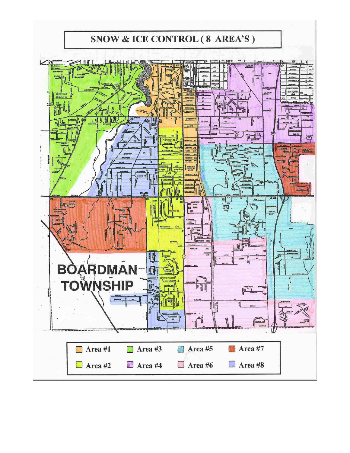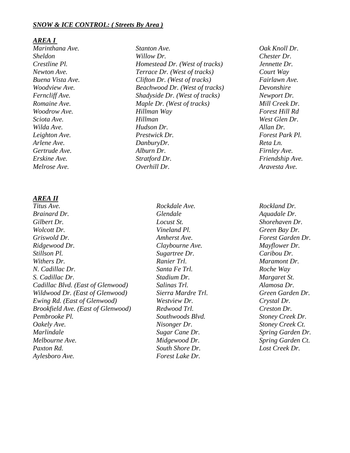### *SNOW & ICE CONTROL: ( Streets By Area )*

#### *AREA I*

## *AREA II*

*Brainard Dr. Glendale Glendale Aquadale Dr. Gilbert Dr. Locust St. Shorehaven Dr. Wolcott Dr. Vineland Pl. Green Bay Dr. Griswold Dr. Amherst Ave. Forest Garden Dr. Ridgewood Dr. Claybourne Ave. Mayflower Dr. Stillson Pl. Sugartree Dr. Caribou Dr. Withers Dr. Ranier Trl. Maramont Dr. N. Cadillac Dr. Santa Fe Trl. Roche Way S. Cadillac Dr. Stadium Dr. Margaret St. Cadillac Blvd. (East of Glenwood) Salinas Trl. Alamosa Dr. Wildwood Dr. (East of Glenwood) Sierra Mardre Trl. Green Garden Dr. Ewing Rd. (East of Glenwood) Westview Dr. Crystal Dr. Brookfield Ave. (East of Glenwood) Redwood Trl. Creston Dr. Pembrooke Pl. Southwoods Blvd. Stoney Creek Dr. Oakely Ave. Nisonger Dr. Stoney Creek Ct. Marlindale Sugar Cane Dr. Spring Garden Dr. Melbourne Ave. Midgewood Dr. Spring Garden Ct. Paxton Rd. South Shore Dr. Lost Creek Dr. Aylesboro Ave. Forest Lake Dr.*

*Marinthana Ave. Stanton Ave. Oak Knoll Dr. Sheldon Willow Dr. Chester Dr. Crestline Pl. Homestead Dr. (West of tracks) Jennette Dr. Newton Ave. Terrace Dr. (West of tracks) Court Way Buena Vista Ave. Clifton Dr. (West of tracks) Fairlawn Ave. Woodview Ave. Beachwood Dr. (West of tracks) Devonshire Ferncliff Ave. Shadyside Dr. (West of tracks) Newport Dr. Romaine Ave. Maple Dr. (West of tracks) Mill Creek Dr. Woodrow Ave. Hillman Way Forest Hill Rd Sciota Ave. Hillman West Glen Dr. Wilda Ave. Hudson Dr. Allan Dr. Leighton Ave. Prestwick Dr. Forest Park Pl. Arlene Ave. DanburyDr. Reta Ln. Gertrude Ave. Alburn Dr. Firnley Ave. Erskine Ave. Stratford Dr. Friendship Ave. Melrose Ave. Overhill Dr. Aravesta Ave.*

*Titus Ave. Rockdale Ave. Rockland Dr.*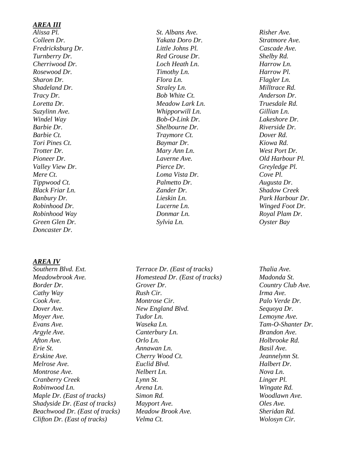# *AREA III*

*Colleen Dr. Yakata Doro Dr. Stratmore Ave. Fredricksburg Dr. Little Johns Pl. Cascade Ave. Turnberry Dr. Red Grouse Dr. Shelby Rd. Cherriwood Dr. Loch Heath Ln. Harrow Ln. Rosewood Dr. Timothy Ln. Harrow Pl. Sharon Dr. Flora Ln. Flagler Ln. Shadeland Dr. Straley Ln. Milltrace Rd. Tracy Dr. Bob White Ct. Anderson Dr. Loretta Dr. Meadow Lark Ln. Truesdale Rd. Suzylinn Ave. Whipporwill Ln. Gillian Ln. Windel Way Bob-O-Link Dr. Lakeshore Dr. Barbie Dr. Shelbourne Dr. Riverside Dr. Barbie Ct. Traymore Ct. Dover Rd. Tori Pines Ct. Baymar Dr. Kiowa Rd. Trotter Dr. Mary Ann Ln. West Port Dr. Pioneer Dr. Laverne Ave. Old Harbour Pl. Valley View Dr. Pierce Dr. Greyledge Pl. Mere Ct. Loma Vista Dr. Cove Pl. Tippwood Ct. Palmetto Dr. Augusta Dr. Black Friar Ln. Zander Dr. Shadow Creek Banbury Dr. Lieskin Ln. Park Harbour Dr. Robinhood Dr. Lucerne Ln. Winged Foot Dr. Robinhood Way Donmar Ln. Royal Plam Dr. Green Glen Dr. Sylvia Ln. Oyster Bay Doncaster Dr.*

#### *AREA IV*

*Meadowbrook Ave. Homestead Dr. (East of tracks) Madonda St. Border Dr. Grover Dr. Country Club Ave. Cathy Way Rush Cir. Irma Ave. Cook Ave. Montrose Cir. Palo Verde Dr. Dover Ave. New England Blvd. Sequoya Dr. Moyer Ave. Tudor Ln. Lemoyne Ave. Evans Ave. Waseka Ln. Tam-O-Shanter Dr. Argyle Ave. Canterbury Ln. Brandon Ave. Afton Ave. Orlo Ln. Holbrooke Rd. Erie St. Annawan Ln. Basil Ave. Erskine Ave. Cherry Wood Ct. Jeannelynn St. Melrose Ave. Euclid Blvd. Halbert Dr. Montrose Ave. Nelbert Ln. Nova Ln. Cranberry Creek Lynn St. Linger Pl. Robinwood Ln. Arena Ln. Wingate Rd. Maple Dr. (East of tracks) Simon Rd. Woodlawn Ave. Shadyside Dr. (East of tracks) Mayport Ave. Oles Ave. Beachwood Dr. (East of tracks) Meadow Brook Ave. Sheridan Rd. Clifton Dr. (East of tracks) Velma Ct. Wolosyn Cir.*

*Alissa Pl. St. Albans Ave. Risher Ave.*

*Southern Blvd. Ext. Terrace Dr. (East of tracks) Thalia Ave.*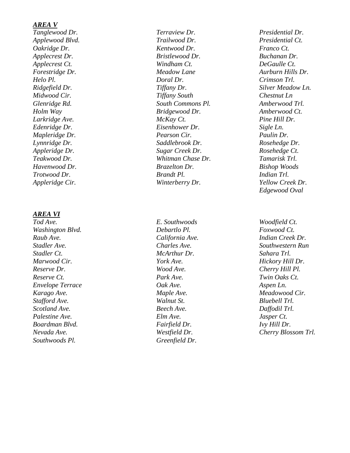### *AREA V*

### *AREA VI*

*Washington Blvd. Raub Ave. California Ave. Indian Creek Dr. Stadler Ct. McArthur Dr. Sahara Trl. Marwood Cir. York Ave. Hickory Hill Dr. Reserve Dr. Wood Ave. Cherry Hill Pl. Reserve Ct. Park Ave. Twin Oaks Ct. Envelope Terrace Oak Ave. Aspen Ln. Karago Ave. Maple Ave. Meadowood Cir. Stafford Ave. Walnut St. Bluebell Trl. Scotland Ave. Beech Ave. Daffodil Trl. Palestine Ave. Elm Ave. Jasper Ct. Boardman Blvd. Fairfield Dr. Ivy Hill Dr. Nevada Ave. Westfield Dr. Southwoods Pl. Greenfield Dr.*

*Tanglewood Dr. Terraview Dr. Presidential Dr. Applewood Blvd. Trailwood Dr. Presidential Ct. Oakridge Dr. Kentwood Dr. Franco Ct. Applecrest Dr. Bristlewood Dr. Buchanan Dr. Applecrest Ct. Windham Ct. DeGaulle Ct. Forestridge Dr. Meadow Lane Aurburn Hills Dr . Helo Pl. Doral Dr. Crimson Trl. Ridgefield Dr. Tiffany Dr. Silver Meadow Ln. Midwood Cir. Tiffany South Chestnut Ln Glenridge Rd. South Commons Pl. Amberwood Trl. Holm Way Bridgewood Dr. Amberwood Ct. Larkridge Ave. McKay Ct. Pine Hill Dr. Edenridge Dr. Eisenhower Dr. Sigle Ln. Mapleridge Dr. Pearson Cir. Paulin Dr. Lynnridge Dr. Saddlebrook Dr. Rosehedge Dr. Appleridge Dr. Sugar Creek Dr. Rosehedge Ct. Teakwood Dr. Whitman Chase Dr. Tamarisk Trl. Havenwood Dr. Brazelton Dr. Bishop Woods Trotwood Dr. Brandt Pl. Indian Trl.*

*Debartlo Pl. Foxwood Ct.*

*Appleridge Cir. Winterberry Dr. Yellow Creek Dr. Edgewood Oval*

*Tod Ave. E. Southwoods Woodfield Ct. Stadler Ave. Charles Ave. Southwestern Run Blossom Trl.*